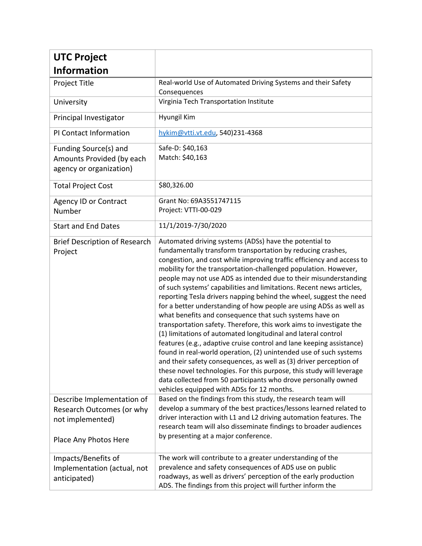| <b>UTC Project</b>                                                                                   |                                                                                                                                                                                                                                                                                                                                                                                                                                                                                                                                                                                                                                                                                                                                                                                                                                                                                                                                                                                                                                                                                                                                                                         |
|------------------------------------------------------------------------------------------------------|-------------------------------------------------------------------------------------------------------------------------------------------------------------------------------------------------------------------------------------------------------------------------------------------------------------------------------------------------------------------------------------------------------------------------------------------------------------------------------------------------------------------------------------------------------------------------------------------------------------------------------------------------------------------------------------------------------------------------------------------------------------------------------------------------------------------------------------------------------------------------------------------------------------------------------------------------------------------------------------------------------------------------------------------------------------------------------------------------------------------------------------------------------------------------|
| <b>Information</b>                                                                                   |                                                                                                                                                                                                                                                                                                                                                                                                                                                                                                                                                                                                                                                                                                                                                                                                                                                                                                                                                                                                                                                                                                                                                                         |
| Project Title                                                                                        | Real-world Use of Automated Driving Systems and their Safety<br>Consequences                                                                                                                                                                                                                                                                                                                                                                                                                                                                                                                                                                                                                                                                                                                                                                                                                                                                                                                                                                                                                                                                                            |
| University                                                                                           | Virginia Tech Transportation Institute                                                                                                                                                                                                                                                                                                                                                                                                                                                                                                                                                                                                                                                                                                                                                                                                                                                                                                                                                                                                                                                                                                                                  |
| Principal Investigator                                                                               | Hyungil Kim                                                                                                                                                                                                                                                                                                                                                                                                                                                                                                                                                                                                                                                                                                                                                                                                                                                                                                                                                                                                                                                                                                                                                             |
| PI Contact Information                                                                               | hykim@vtti.vt.edu, 540)231-4368                                                                                                                                                                                                                                                                                                                                                                                                                                                                                                                                                                                                                                                                                                                                                                                                                                                                                                                                                                                                                                                                                                                                         |
| Funding Source(s) and<br>Amounts Provided (by each<br>agency or organization)                        | Safe-D: \$40,163<br>Match: \$40,163                                                                                                                                                                                                                                                                                                                                                                                                                                                                                                                                                                                                                                                                                                                                                                                                                                                                                                                                                                                                                                                                                                                                     |
| <b>Total Project Cost</b>                                                                            | \$80,326.00                                                                                                                                                                                                                                                                                                                                                                                                                                                                                                                                                                                                                                                                                                                                                                                                                                                                                                                                                                                                                                                                                                                                                             |
| <b>Agency ID or Contract</b><br>Number                                                               | Grant No: 69A3551747115<br>Project: VTTI-00-029                                                                                                                                                                                                                                                                                                                                                                                                                                                                                                                                                                                                                                                                                                                                                                                                                                                                                                                                                                                                                                                                                                                         |
| <b>Start and End Dates</b>                                                                           | 11/1/2019-7/30/2020                                                                                                                                                                                                                                                                                                                                                                                                                                                                                                                                                                                                                                                                                                                                                                                                                                                                                                                                                                                                                                                                                                                                                     |
| <b>Brief Description of Research</b><br>Project                                                      | Automated driving systems (ADSs) have the potential to<br>fundamentally transform transportation by reducing crashes,<br>congestion, and cost while improving traffic efficiency and access to<br>mobility for the transportation-challenged population. However,<br>people may not use ADS as intended due to their misunderstanding<br>of such systems' capabilities and limitations. Recent news articles,<br>reporting Tesla drivers napping behind the wheel, suggest the need<br>for a better understanding of how people are using ADSs as well as<br>what benefits and consequence that such systems have on<br>transportation safety. Therefore, this work aims to investigate the<br>(1) limitations of automated longitudinal and lateral control<br>features (e.g., adaptive cruise control and lane keeping assistance)<br>found in real-world operation, (2) unintended use of such systems<br>and their safety consequences, as well as (3) driver perception of<br>these novel technologies. For this purpose, this study will leverage<br>data collected from 50 participants who drove personally owned<br>vehicles equipped with ADSs for 12 months. |
| Describe Implementation of<br>Research Outcomes (or why<br>not implemented)<br>Place Any Photos Here | Based on the findings from this study, the research team will<br>develop a summary of the best practices/lessons learned related to<br>driver interaction with L1 and L2 driving automation features. The<br>research team will also disseminate findings to broader audiences<br>by presenting at a major conference.                                                                                                                                                                                                                                                                                                                                                                                                                                                                                                                                                                                                                                                                                                                                                                                                                                                  |
| Impacts/Benefits of<br>Implementation (actual, not<br>anticipated)                                   | The work will contribute to a greater understanding of the<br>prevalence and safety consequences of ADS use on public<br>roadways, as well as drivers' perception of the early production<br>ADS. The findings from this project will further inform the                                                                                                                                                                                                                                                                                                                                                                                                                                                                                                                                                                                                                                                                                                                                                                                                                                                                                                                |